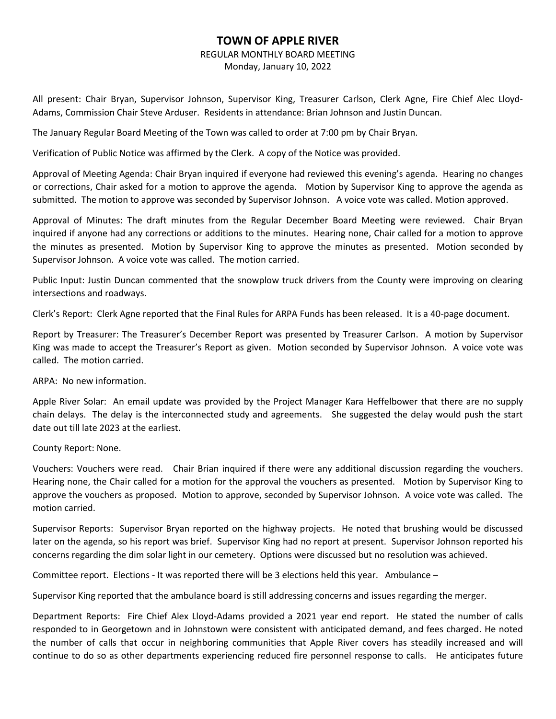## **TOWN OF APPLE RIVER**

## REGULAR MONTHLY BOARD MEETING

Monday, January 10, 2022

All present: Chair Bryan, Supervisor Johnson, Supervisor King, Treasurer Carlson, Clerk Agne, Fire Chief Alec Lloyd-Adams, Commission Chair Steve Arduser. Residents in attendance: Brian Johnson and Justin Duncan.

The January Regular Board Meeting of the Town was called to order at 7:00 pm by Chair Bryan.

Verification of Public Notice was affirmed by the Clerk. A copy of the Notice was provided.

Approval of Meeting Agenda: Chair Bryan inquired if everyone had reviewed this evening's agenda. Hearing no changes or corrections, Chair asked for a motion to approve the agenda. Motion by Supervisor King to approve the agenda as submitted. The motion to approve was seconded by Supervisor Johnson. A voice vote was called. Motion approved.

Approval of Minutes: The draft minutes from the Regular December Board Meeting were reviewed. Chair Bryan inquired if anyone had any corrections or additions to the minutes. Hearing none, Chair called for a motion to approve the minutes as presented. Motion by Supervisor King to approve the minutes as presented. Motion seconded by Supervisor Johnson. A voice vote was called. The motion carried.

Public Input: Justin Duncan commented that the snowplow truck drivers from the County were improving on clearing intersections and roadways.

Clerk's Report: Clerk Agne reported that the Final Rules for ARPA Funds has been released. It is a 40-page document.

Report by Treasurer: The Treasurer's December Report was presented by Treasurer Carlson. A motion by Supervisor King was made to accept the Treasurer's Report as given. Motion seconded by Supervisor Johnson. A voice vote was called. The motion carried.

ARPA: No new information.

Apple River Solar: An email update was provided by the Project Manager Kara Heffelbower that there are no supply chain delays. The delay is the interconnected study and agreements. She suggested the delay would push the start date out till late 2023 at the earliest.

County Report: None.

Vouchers: Vouchers were read. Chair Brian inquired if there were any additional discussion regarding the vouchers. Hearing none, the Chair called for a motion for the approval the vouchers as presented. Motion by Supervisor King to approve the vouchers as proposed. Motion to approve, seconded by Supervisor Johnson. A voice vote was called. The motion carried.

Supervisor Reports: Supervisor Bryan reported on the highway projects. He noted that brushing would be discussed later on the agenda, so his report was brief. Supervisor King had no report at present. Supervisor Johnson reported his concerns regarding the dim solar light in our cemetery. Options were discussed but no resolution was achieved.

Committee report. Elections - It was reported there will be 3 elections held this year. Ambulance –

Supervisor King reported that the ambulance board is still addressing concerns and issues regarding the merger.

Department Reports: Fire Chief Alex Lloyd-Adams provided a 2021 year end report. He stated the number of calls responded to in Georgetown and in Johnstown were consistent with anticipated demand, and fees charged. He noted the number of calls that occur in neighboring communities that Apple River covers has steadily increased and will continue to do so as other departments experiencing reduced fire personnel response to calls. He anticipates future